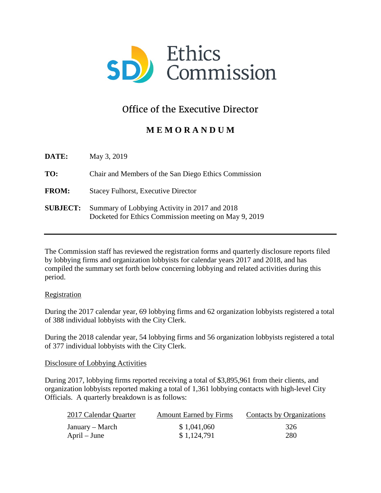

# Office of the Executive Director

## **M E M O R A N D U M**

| DATE:           | May 3, 2019                                                                                            |
|-----------------|--------------------------------------------------------------------------------------------------------|
| TO:             | Chair and Members of the San Diego Ethics Commission                                                   |
| <b>FROM:</b>    | <b>Stacey Fulhorst, Executive Director</b>                                                             |
| <b>SUBJECT:</b> | Summary of Lobbying Activity in 2017 and 2018<br>Docketed for Ethics Commission meeting on May 9, 2019 |

The Commission staff has reviewed the registration forms and quarterly disclosure reports filed by lobbying firms and organization lobbyists for calendar years 2017 and 2018, and has compiled the summary set forth below concerning lobbying and related activities during this period.

### Registration

During the 2017 calendar year, 69 lobbying firms and 62 organization lobbyists registered a total of 388 individual lobbyists with the City Clerk.

During the 2018 calendar year, 54 lobbying firms and 56 organization lobbyists registered a total of 377 individual lobbyists with the City Clerk.

### Disclosure of Lobbying Activities

During 2017, lobbying firms reported receiving a total of \$3,895,961 from their clients, and organization lobbyists reported making a total of 1,361 lobbying contacts with high-level City Officials. A quarterly breakdown is as follows:

| 2017 Calendar Quarter | <b>Amount Earned by Firms</b> | Contacts by Organizations |
|-----------------------|-------------------------------|---------------------------|
| January – March       | \$1,041,060                   | 326                       |
| $April - June$        | \$1,124,791                   | 280                       |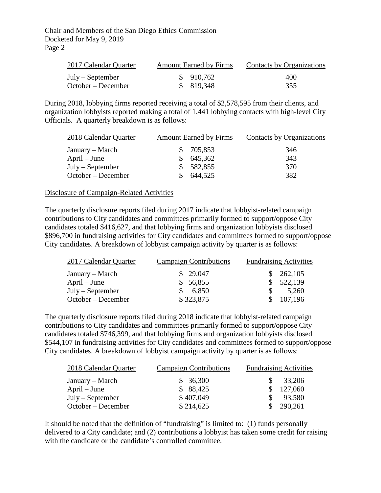Chair and Members of the San Diego Ethics Commission Docketed for May 9, 2019 Page 2

| 2017 Calendar Quarter | <b>Amount Earned by Firms</b> | Contacts by Organizations |
|-----------------------|-------------------------------|---------------------------|
| July – September      | \$910,762                     | 400                       |
| October – December    | \$819,348                     | 355                       |

During 2018, lobbying firms reported receiving a total of \$2,578,595 from their clients, and organization lobbyists reported making a total of 1,441 lobbying contacts with high-level City Officials. A quarterly breakdown is as follows:

| 2018 Calendar Quarter | <b>Amount Earned by Firms</b> |            | Contacts by Organizations |
|-----------------------|-------------------------------|------------|---------------------------|
| January – March       |                               | \$ 705,853 | 346                       |
| $April - June$        |                               | 645,362    | 343                       |
| $July - September$    |                               | \$582,855  | 370                       |
| October – December    |                               | 644,525    | 382                       |

#### Disclosure of Campaign-Related Activities

The quarterly disclosure reports filed during 2017 indicate that lobbyist-related campaign contributions to City candidates and committees primarily formed to support/oppose City candidates totaled \$416,627, and that lobbying firms and organization lobbyists disclosed \$896,700 in fundraising activities for City candidates and committees formed to support/oppose City candidates. A breakdown of lobbyist campaign activity by quarter is as follows:

| 2017 Calendar Quarter | <b>Campaign Contributions</b> | <b>Fundraising Activities</b> |  |
|-----------------------|-------------------------------|-------------------------------|--|
| January – March       | \$29,047                      | \$262,105                     |  |
| $April - June$        | \$56,855                      | \$522,139                     |  |
| $July - September$    | 6,850                         | 5,260                         |  |
| October – December    | \$323,875                     | 107,196                       |  |

The quarterly disclosure reports filed during 2018 indicate that lobbyist-related campaign contributions to City candidates and committees primarily formed to support/oppose City candidates totaled \$746,399, and that lobbying firms and organization lobbyists disclosed \$544,107 in fundraising activities for City candidates and committees formed to support/oppose City candidates. A breakdown of lobbyist campaign activity by quarter is as follows:

| 2018 Calendar Quarter | <b>Campaign Contributions</b> | <b>Fundraising Activities</b> |
|-----------------------|-------------------------------|-------------------------------|
| January – March       | \$36,300                      | 33,206<br>SS.                 |
| $April - June$        | \$88,425                      | 127,060                       |
| $July - September$    | \$407,049                     | 93,580                        |
| October – December    | \$214,625                     | 290,261                       |

It should be noted that the definition of "fundraising" is limited to: (1) funds personally delivered to a City candidate; and (2) contributions a lobbyist has taken some credit for raising with the candidate or the candidate's controlled committee.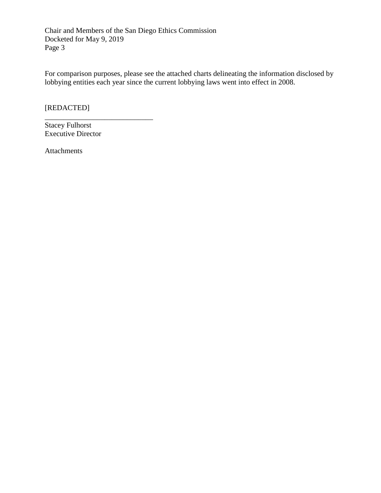Chair and Members of the San Diego Ethics Commission Docketed for May 9, 2019 Page 3

For comparison purposes, please see the attached charts delineating the information disclosed by lobbying entities each year since the current lobbying laws went into effect in 2008.

[REDACTED]

Stacey Fulhorst Executive Director

\_\_\_\_\_\_\_\_\_\_\_\_\_\_\_\_\_\_\_\_\_\_\_\_\_\_\_\_\_

Attachments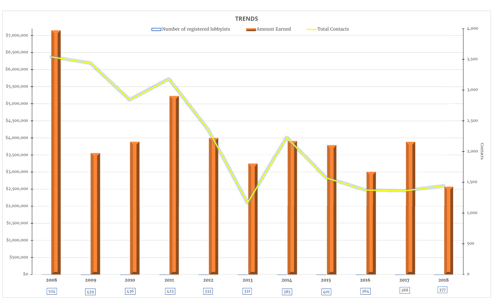